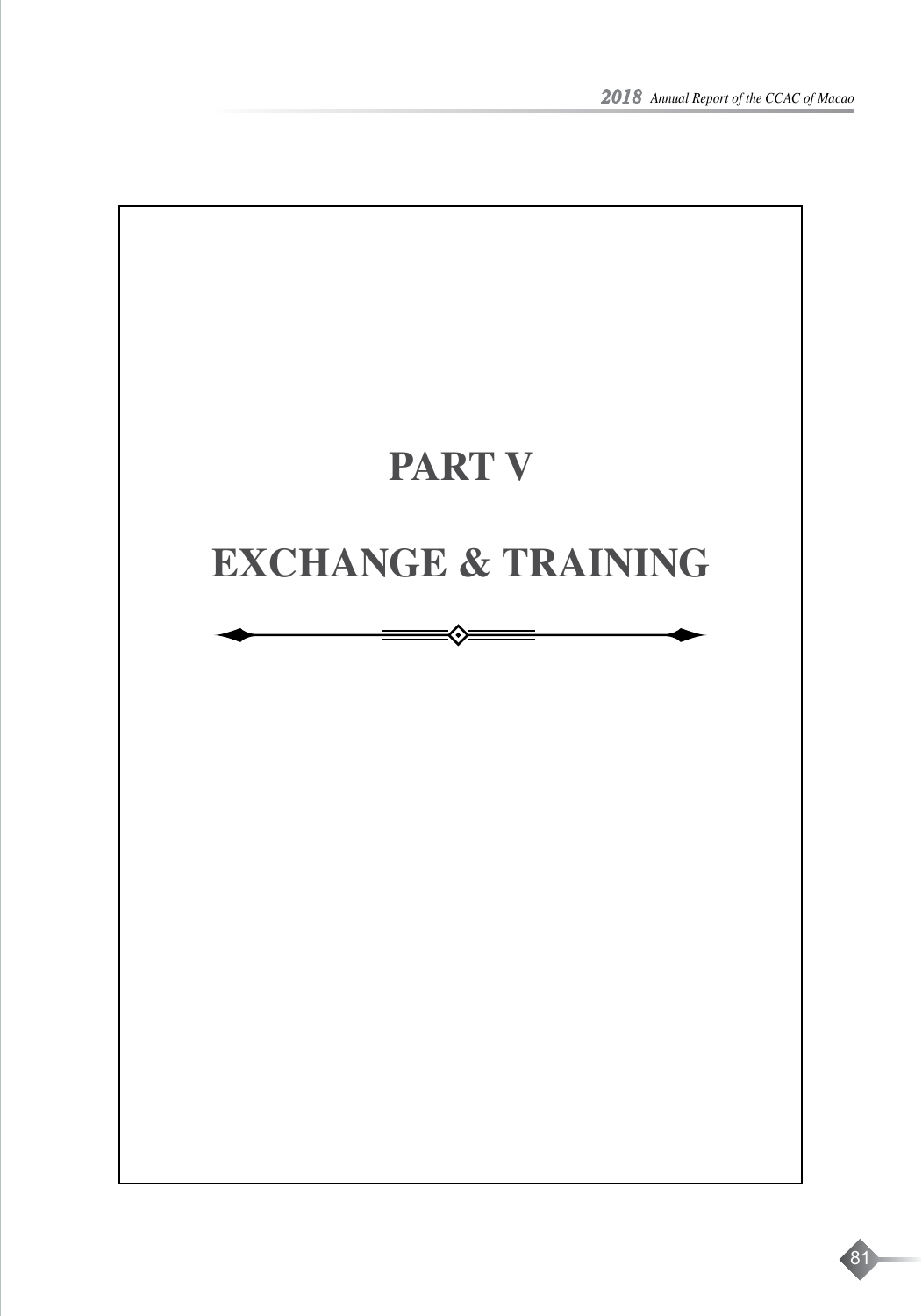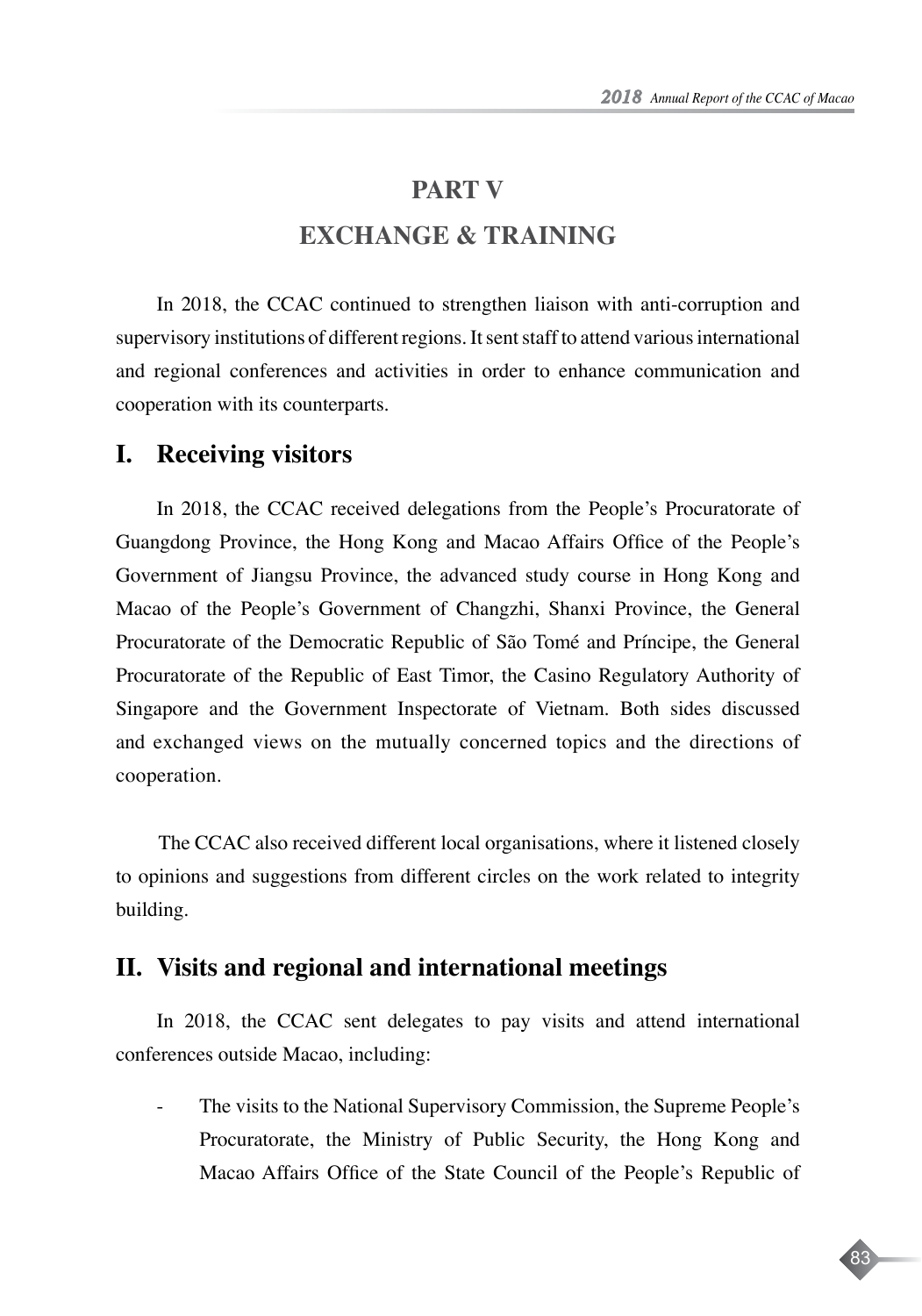83

## **PART V**

# **EXCHANGE & TRAINING**

In 2018, the CCAC continued to strengthen liaison with anti-corruption and supervisory institutions of different regions. It sent staff to attend various international and regional conferences and activities in order to enhance communication and cooperation with its counterparts.

#### **I. Receiving visitors**

In 2018, the CCAC received delegations from the People's Procuratorate of Guangdong Province, the Hong Kong and Macao Affairs Office of the People's Government of Jiangsu Province, the advanced study course in Hong Kong and Macao of the People's Government of Changzhi, Shanxi Province, the General Procuratorate of the Democratic Republic of São Tomé and Príncipe, the General Procuratorate of the Republic of East Timor, the Casino Regulatory Authority of Singapore and the Government Inspectorate of Vietnam. Both sides discussed and exchanged views on the mutually concerned topics and the directions of cooperation.

The CCAC also received different local organisations, where it listened closely to opinions and suggestions from different circles on the work related to integrity building.

### **II. Visits and regional and international meetings**

In 2018, the CCAC sent delegates to pay visits and attend international conferences outside Macao, including:

The visits to the National Supervisory Commission, the Supreme People's Procuratorate, the Ministry of Public Security, the Hong Kong and Macao Affairs Office of the State Council of the People's Republic of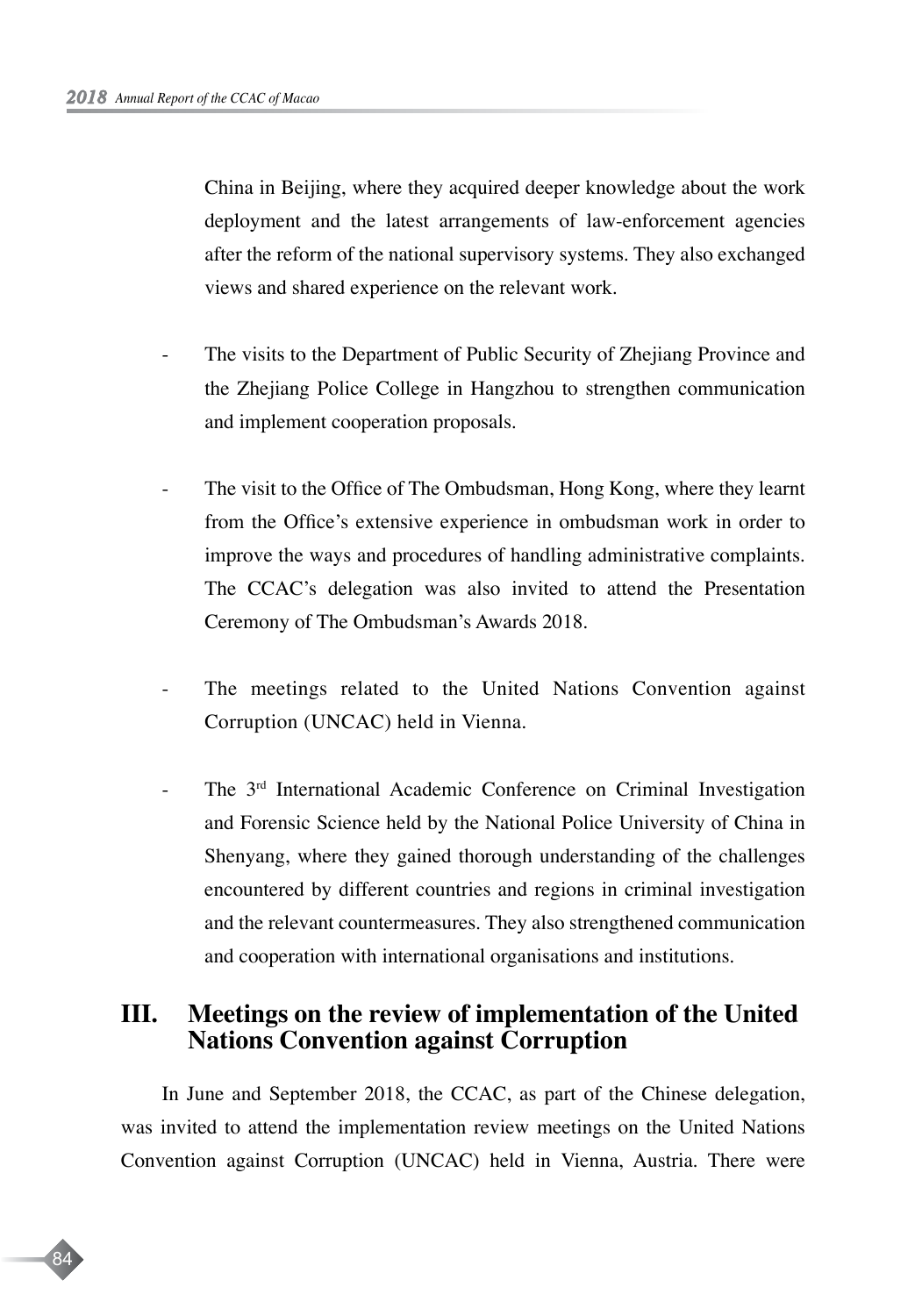84

China in Beijing, where they acquired deeper knowledge about the work deployment and the latest arrangements of law-enforcement agencies after the reform of the national supervisory systems. They also exchanged views and shared experience on the relevant work.

- The visits to the Department of Public Security of Zhejiang Province and the Zhejiang Police College in Hangzhou to strengthen communication and implement cooperation proposals.
- The visit to the Office of The Ombudsman, Hong Kong, where they learnt from the Office's extensive experience in ombudsman work in order to improve the ways and procedures of handling administrative complaints. The CCAC's delegation was also invited to attend the Presentation Ceremony of The Ombudsman's Awards 2018.
- The meetings related to the United Nations Convention against Corruption (UNCAC) held in Vienna.
- The 3<sup>rd</sup> International Academic Conference on Criminal Investigation and Forensic Science held by the National Police University of China in Shenyang, where they gained thorough understanding of the challenges encountered by different countries and regions in criminal investigation and the relevant countermeasures. They also strengthened communication and cooperation with international organisations and institutions.

# **III. Meetings on the review of implementation of the United Nations Convention against Corruption**

In June and September 2018, the CCAC, as part of the Chinese delegation, was invited to attend the implementation review meetings on the United Nations Convention against Corruption (UNCAC) held in Vienna, Austria. There were